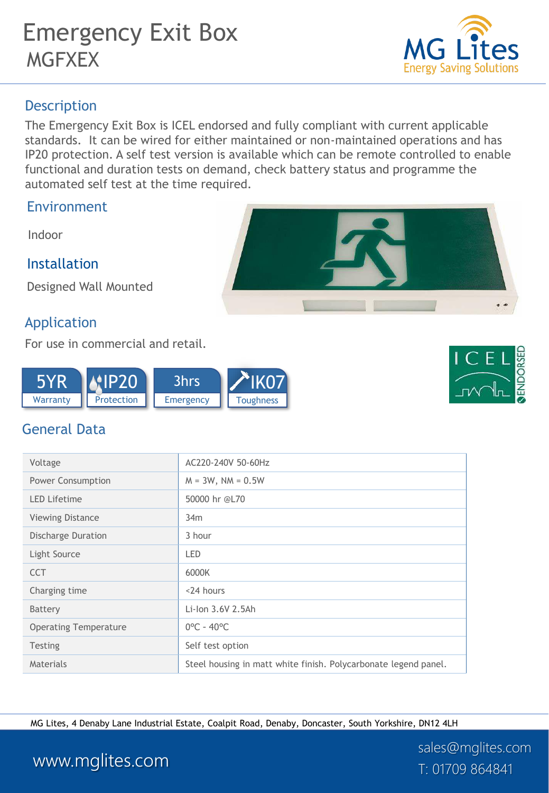# Emergency Exit Box **MGFXEX**



### **Description**

The Emergency Exit Box is ICEL endorsed and fully compliant with current applicable standards. It can be wired for either maintained or non-maintained operations and has IP20 protection. A self test version is available which can be remote controlled to enable functional and duration tests on demand, check battery status and programme the automated self test at the time required.

## Environment

Indoor

#### Installation

Designed Wall Mounted

### Application

For use in commercial and retail.





## General Data

| Voltage                      | AC220-240V 50-60Hz                                              |  |
|------------------------------|-----------------------------------------------------------------|--|
| Power Consumption            | $M = 3W$ , $NM = 0.5W$                                          |  |
| <b>LED Lifetime</b>          | 50000 hr @L70                                                   |  |
| <b>Viewing Distance</b>      | 34m                                                             |  |
| Discharge Duration           | 3 hour                                                          |  |
| Light Source                 | LED                                                             |  |
| <b>CCT</b>                   | 6000K                                                           |  |
| Charging time                | <24 hours                                                       |  |
| Battery                      | Li-Ion 3.6V 2.5Ah                                               |  |
| <b>Operating Temperature</b> | $0^{\circ}$ C - 40 $^{\circ}$ C                                 |  |
| <b>Testing</b>               | Self test option                                                |  |
| Materials                    | Steel housing in matt white finish. Polycarbonate legend panel. |  |

MG Lites, 4 Denaby Lane Industrial Estate, Coalpit Road, Denaby, Doncaster, South Yorkshire, DN12 4LH

sales@mglites.com

# www.mglites.com T: 01709 864841